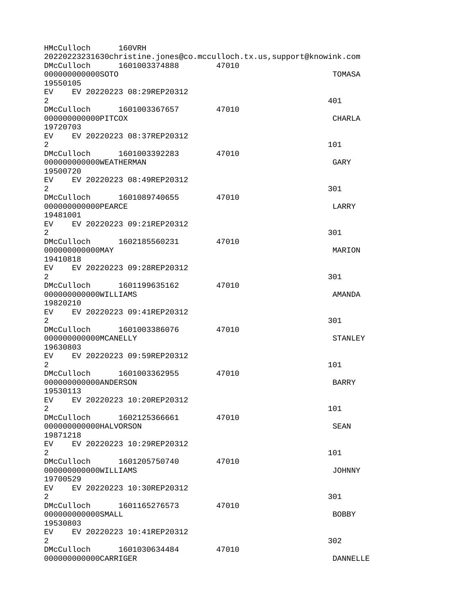HMcCulloch 160VRH 20220223231630christine.jones@co.mcculloch.tx.us,support@knowink.com DMcCulloch 1601003374888 47010 000000000000SOTO TOMASA 19550105 EV EV 20220223 08:29REP20312  $2^{401}$ DMcCulloch 1601003367657 47010 000000000000PITCOX CHARLA 19720703 EV EV 20220223 08:37REP20312  $2 \t 101$ DMcCulloch 1601003392283 47010 000000000000WEATHERMAN GARY 19500720 EV EV 20220223 08:49REP20312  $2\,$ DMcCulloch 1601089740655 47010 000000000000PEARCE LARRY 19481001 EV EV 20220223 09:21REP20312  $2\,$ DMcCulloch 1602185560231 47010 000000000000MAY MARION 19410818 EV EV 20220223 09:28REP20312  $2\,$ DMcCulloch 1601199635162 47010 000000000000WILLIAMS AMANDA 19820210 EV EV 20220223 09:41REP20312  $2\,$ DMcCulloch 1601003386076 47010 000000000000MCANELLY STANLEY 19630803 EV EV 20220223 09:59REP20312  $2 \t 101$ DMcCulloch 1601003362955 47010 000000000000ANDERSON BARRY 19530113 EV EV 20220223 10:20REP20312  $2 \t 101$ DMcCulloch 1602125366661 47010 000000000000HALVORSON SEAN 19871218 EV EV 20220223 10:29REP20312  $2 \t 101$ DMcCulloch 1601205750740 47010 000000000000WILLIAMS JOHNNY 19700529 EV EV 20220223 10:30REP20312  $2\,$ DMcCulloch 1601165276573 47010 000000000000SMALL BOBBY 19530803 EV EV 20220223 10:41REP20312  $2\overline{)}$ DMcCulloch 1601030634484 47010 000000000000CARRIGER DANNELLE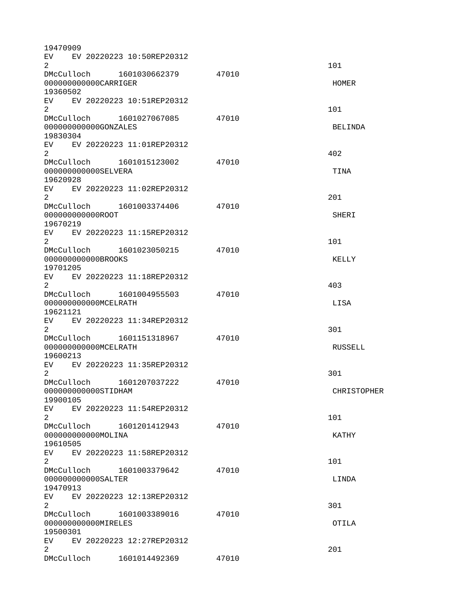| 19470909                                      |                                |       |                    |
|-----------------------------------------------|--------------------------------|-------|--------------------|
| $\overline{2}$                                | EV EV 20220223 10:50REP20312   |       | 101                |
| 000000000000CARRIGER                          | DMcCulloch  1601030662379      | 47010 | <b>HOMER</b>       |
| 19360502                                      | EV EV 20220223 10:51REP20312   |       |                    |
| $\overline{2}$                                | DMcCulloch 1601027067085       | 47010 | 101                |
| 000000000000GONZALES<br>19830304              |                                |       | BELINDA            |
| $\overline{2}$                                | EV EV 20220223 11:01REP20312   |       | 402                |
| 000000000000SELVERA<br>19620928               | DMcCulloch 1601015123002       | 47010 | <b>TINA</b>        |
| 2                                             | EV EV 20220223 11:02REP20312   |       | 201                |
| 00000000000R00T<br>19670219                   | DMcCulloch 1601003374406       | 47010 | <b>SHERI</b>       |
| $\overline{2}$                                | EV EV 20220223 11:15REP20312   |       | 101                |
| 00000000000BR00KS<br>19701205                 |                                | 47010 | <b>KELLY</b>       |
| $\overline{2}$                                | EV EV 20220223 11:18REP20312   |       | 403                |
| 000000000000MCELRATH<br>19621121              | DMcCulloch  1601004955503      | 47010 | <b>LISA</b>        |
| $\overline{2}$                                | EV EV 20220223 11:34REP20312   |       | 301                |
| 000000000000MCELRATH<br>19600213              | DMcCulloch 1601151318967 47010 |       | <b>RUSSELL</b>     |
| EV<br>$\overline{2}$                          | EV 20220223 11:35REP20312      |       | 301                |
| 000000000000STIDHAM<br>19900105               | DMcCulloch 1601207037222       | 47010 | <b>CHRISTOPHER</b> |
| EV<br>$\overline{2}$                          | EV 20220223 11:54REP20312      |       | 101                |
| 000000000000MOLINA<br>19610505                |                                | 47010 | <b>KATHY</b>       |
| EV <sub>2</sub><br>$\overline{2}$             | EV 20220223 11:58REP20312      |       | 101                |
| DMcCulloch<br>000000000000SALTER              | 1601003379642                  | 47010 | LINDA              |
| 19470913<br>EV <sub>2</sub><br>$\overline{2}$ | EV 20220223 12:13REP20312      |       | 301                |
| DMcCulloch<br>000000000000MIRELES             | 1601003389016                  | 47010 | <b>OTILA</b>       |
| 19500301<br>$\overline{2}$                    | EV EV 20220223 12:27REP20312   |       | 201                |
|                                               | DMcCulloch 1601014492369       | 47010 |                    |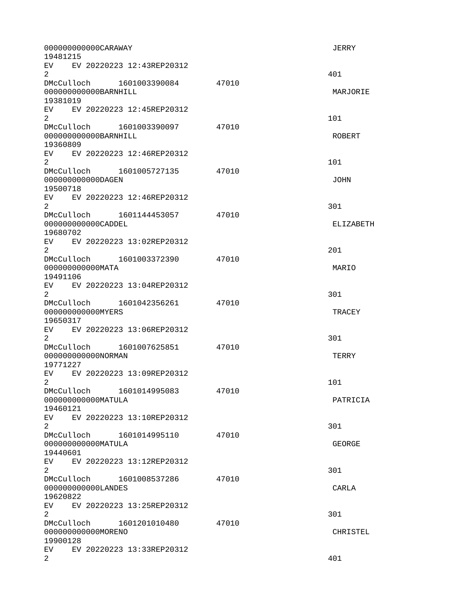| 000000000000CARAWAY<br>19481215                                  |       | <b>JERRY</b>    |
|------------------------------------------------------------------|-------|-----------------|
| EV EV 20220223 12:43REP20312<br>$\overline{2}$                   |       | 401             |
| DMcCulloch 1601003390084<br>000000000000BARNHILL                 | 47010 | MARJORIE        |
| 19381019<br>EV EV 20220223 12:45REP20312<br>$\overline{2}$       |       | 101             |
| DMcCulloch 1601003390097<br>000000000000BARNHILL<br>19360809     | 47010 | <b>ROBERT</b>   |
| EV EV 20220223 12:46REP20312<br>2 <sup>1</sup>                   |       | 101             |
| DMcCulloch 1601005727135<br>000000000000DAGEN<br>19500718        | 47010 | <b>JOHN</b>     |
| EV EV 20220223 12:46REP20312<br>$\overline{2}$                   |       | 301             |
| 000000000000CADDEL<br>19680702                                   | 47010 | ELIZABETH       |
| EV EV 20220223 13:02REP20312<br>$\overline{2}$                   |       | 201             |
| DMcCulloch 1601003372390<br>00000000000MATA<br>19491106          | 47010 | MARIO           |
| EV EV 20220223 13:04REP20312<br>$\overline{2}$                   |       | 301             |
| DMcCulloch 1601042356261<br>00000000000MYERS<br>19650317         | 47010 | <b>TRACEY</b>   |
| EV EV 20220223 13:06REP20312<br>$\overline{2}$                   |       | 301             |
| DMcCulloch 1601007625851 47010<br>000000000000NORMAN<br>19771227 |       | <b>TERRY</b>    |
| EV  <br>EV 20220223 13:09REP20312<br>2                           |       | 101             |
| DMcCulloch 1601014995083<br>000000000000MATULA<br>19460121       | 47010 | PATRICIA        |
| EV EV 20220223 13:10REP20312<br>$2^{\circ}$                      |       | 301             |
| DMcCulloch 1601014995110<br>000000000000MATULA<br>19440601       | 47010 | <b>GEORGE</b>   |
| EV EV 20220223 13:12REP20312<br>$\overline{2}$                   |       | 301             |
| DMcCulloch<br>1601008537286<br>000000000000LANDES<br>19620822    | 47010 | CARLA           |
| EV EV 20220223 13:25REP20312<br>$\overline{2}$                   |       | 301             |
| 00000000000MORENO<br>19900128                                    | 47010 | <b>CHRISTEL</b> |
| EV EV 20220223 13:33REP20312<br>$\overline{2}$                   |       | 401             |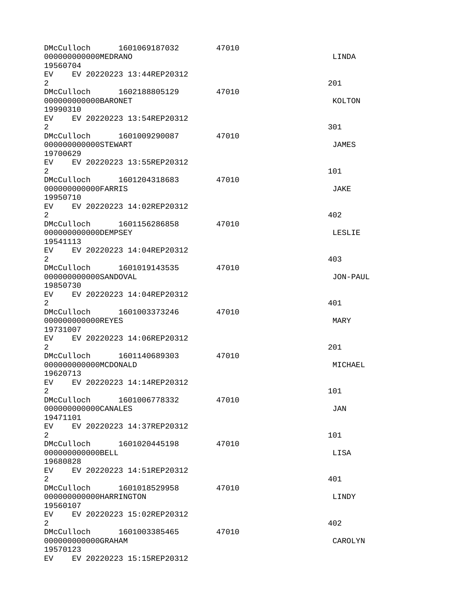| DMcCulloch<br>000000000000MEDRANO<br>19560704    | 1601069187032                | 47010 | LINDA         |
|--------------------------------------------------|------------------------------|-------|---------------|
| $\overline{2}$                                   | EV EV 20220223 13:44REP20312 |       | 201           |
| 000000000000BARONET<br>19990310                  | DMcCulloch 1602188805129     | 47010 | <b>KOLTON</b> |
| $\overline{2}$                                   | EV EV 20220223 13:54REP20312 |       | 301           |
| 000000000000STEWART<br>19700629                  | DMcCulloch 1601009290087     | 47010 | <b>JAMES</b>  |
| $\overline{2}$                                   | EV EV 20220223 13:55REP20312 |       | 101           |
| 00000000000FARRIS<br>19950710                    |                              | 47010 | <b>JAKE</b>   |
| EV.<br>$\overline{2}$                            | EV 20220223 14:02REP20312    |       | 402           |
| 000000000000DEMPSEY<br>19541113                  | DMcCulloch 1601156286858     | 47010 | LESLIE        |
| $\overline{2}$                                   | EV EV 20220223 14:04REP20312 |       | 403           |
| 000000000000SANDOVAL<br>19850730                 |                              | 47010 | JON-PAUL      |
| $\overline{2}$                                   | EV EV 20220223 14:04REP20312 |       | 401           |
| 000000000000REYES<br>19731007                    | DMcCulloch 1601003373246     | 47010 | <b>MARY</b>   |
| 2                                                | EV EV 20220223 14:06REP20312 |       | 201           |
| 000000000000MCD0NALD<br>19620713                 | DMcCulloch 1601140689303     | 47010 | MICHAEL       |
| EV.<br>2.                                        | EV 20220223 14:14REP20312    |       | 101           |
| DMcCulloch<br>000000000000CANALES<br>19471101    | 1601006778332                | 47010 | <b>JAN</b>    |
| 2                                                | EV EV 20220223 14:37REP20312 |       | 101           |
| 00000000000BELL<br>19680828                      | DMcCulloch 1601020445198     | 47010 | LISA          |
| $\overline{2}$                                   | EV EV 20220223 14:51REP20312 |       | 401           |
| DMcCulloch<br>000000000000HARRINGTON<br>19560107 | 1601018529958                | 47010 | LINDY         |
| $\overline{2}$                                   | EV EV 20220223 15:02REP20312 |       | 402           |
| 000000000000GRAHAM<br>19570123                   | DMcCulloch 1601003385465     | 47010 | CAROLYN       |
|                                                  | EV EV 20220223 15:15REP20312 |       |               |